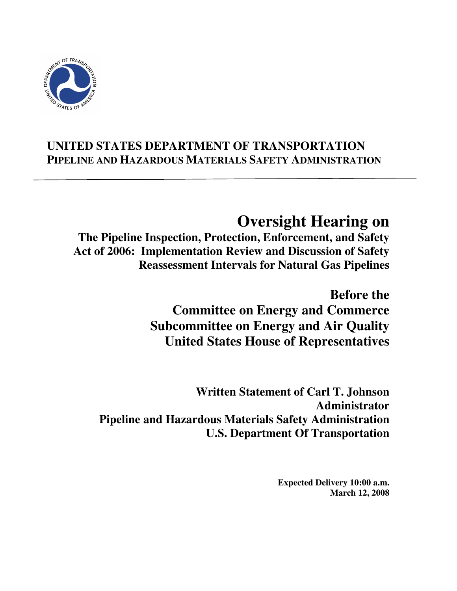

# **UNITED STATES DEPARTMENT OF TRANSPORTATION PIPELINE AND HAZARDOUS MATERIALS SAFETY ADMINISTRATION**

# **Oversight Hearing on**

**The Pipeline Inspection, Protection, Enforcement, and Safety Act of 2006: Implementation Review and Discussion of Safety Reassessment Intervals for Natural Gas Pipelines** 

> **Before the Committee on Energy and Commerce Subcommittee on Energy and Air Quality United States House of Representatives**

**Written Statement of Carl T. Johnson Administrator Pipeline and Hazardous Materials Safety Administration U.S. Department Of Transportation** 

> **Expected Delivery 10:00 a.m. March 12, 2008**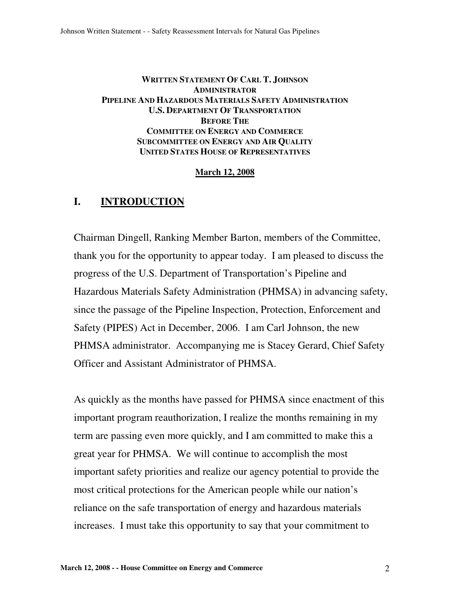#### **WRITTEN STATEMENT OF CARL T. JOHNSON ADMINISTRATOR PIPELINE AND HAZARDOUS MATERIALS SAFETY ADMINISTRATION U.S. DEPARTMENT OF TRANSPORTATION BEFORE THE COMMITTEE ON ENERGY AND COMMERCE SUBCOMMITTEE ON ENERGY AND AIR QUALITY UNITED STATES HOUSE OF REPRESENTATIVES**

#### **March 12, 2008**

## **I. INTRODUCTION**

Chairman Dingell, Ranking Member Barton, members of the Committee, thank you for the opportunity to appear today. I am pleased to discuss the progress of the U.S. Department of Transportation's Pipeline and Hazardous Materials Safety Administration (PHMSA) in advancing safety, since the passage of the Pipeline Inspection, Protection, Enforcement and Safety (PIPES) Act in December, 2006. I am Carl Johnson, the new PHMSA administrator. Accompanying me is Stacey Gerard, Chief Safety Officer and Assistant Administrator of PHMSA.

As quickly as the months have passed for PHMSA since enactment of this important program reauthorization, I realize the months remaining in my term are passing even more quickly, and I am committed to make this a great year for PHMSA. We will continue to accomplish the most important safety priorities and realize our agency potential to provide the most critical protections for the American people while our nation's reliance on the safe transportation of energy and hazardous materials increases. I must take this opportunity to say that your commitment to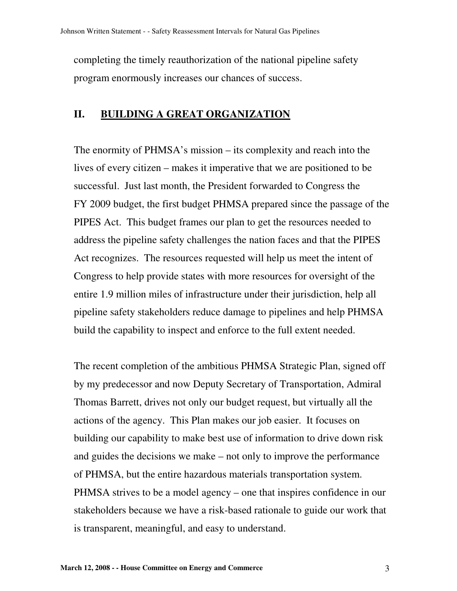completing the timely reauthorization of the national pipeline safety program enormously increases our chances of success.

# **II. BUILDING A GREAT ORGANIZATION**

The enormity of PHMSA's mission – its complexity and reach into the lives of every citizen – makes it imperative that we are positioned to be successful. Just last month, the President forwarded to Congress the FY 2009 budget, the first budget PHMSA prepared since the passage of the PIPES Act. This budget frames our plan to get the resources needed to address the pipeline safety challenges the nation faces and that the PIPES Act recognizes. The resources requested will help us meet the intent of Congress to help provide states with more resources for oversight of the entire 1.9 million miles of infrastructure under their jurisdiction, help all pipeline safety stakeholders reduce damage to pipelines and help PHMSA build the capability to inspect and enforce to the full extent needed.

The recent completion of the ambitious PHMSA Strategic Plan, signed off by my predecessor and now Deputy Secretary of Transportation, Admiral Thomas Barrett, drives not only our budget request, but virtually all the actions of the agency. This Plan makes our job easier. It focuses on building our capability to make best use of information to drive down risk and guides the decisions we make – not only to improve the performance of PHMSA, but the entire hazardous materials transportation system. PHMSA strives to be a model agency – one that inspires confidence in our stakeholders because we have a risk-based rationale to guide our work that is transparent, meaningful, and easy to understand.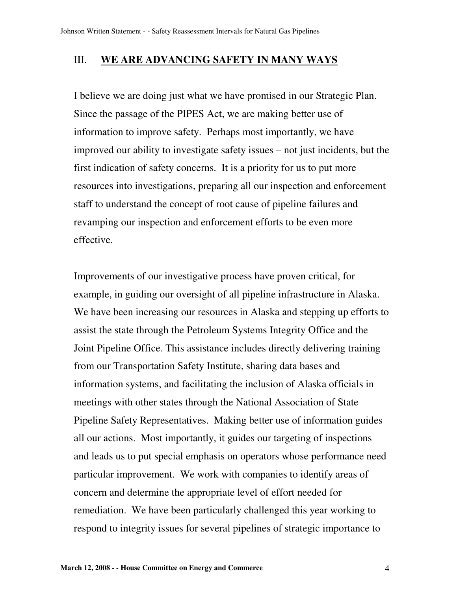## III. **WE ARE ADVANCING SAFETY IN MANY WAYS**

I believe we are doing just what we have promised in our Strategic Plan. Since the passage of the PIPES Act, we are making better use of information to improve safety. Perhaps most importantly, we have improved our ability to investigate safety issues – not just incidents, but the first indication of safety concerns. It is a priority for us to put more resources into investigations, preparing all our inspection and enforcement staff to understand the concept of root cause of pipeline failures and revamping our inspection and enforcement efforts to be even more effective.

Improvements of our investigative process have proven critical, for example, in guiding our oversight of all pipeline infrastructure in Alaska. We have been increasing our resources in Alaska and stepping up efforts to assist the state through the Petroleum Systems Integrity Office and the Joint Pipeline Office. This assistance includes directly delivering training from our Transportation Safety Institute, sharing data bases and information systems, and facilitating the inclusion of Alaska officials in meetings with other states through the National Association of State Pipeline Safety Representatives. Making better use of information guides all our actions. Most importantly, it guides our targeting of inspections and leads us to put special emphasis on operators whose performance need particular improvement. We work with companies to identify areas of concern and determine the appropriate level of effort needed for remediation. We have been particularly challenged this year working to respond to integrity issues for several pipelines of strategic importance to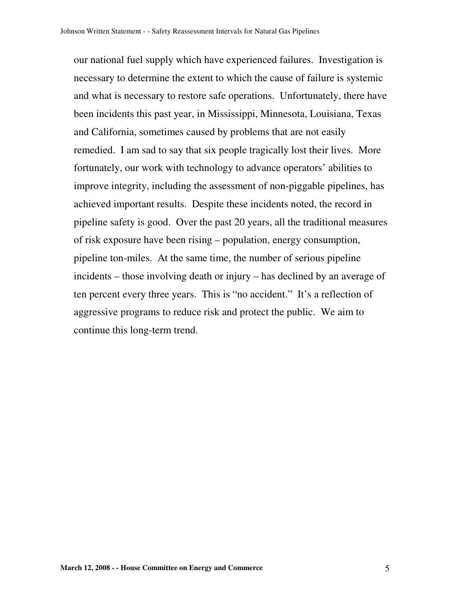our national fuel supply which have experienced failures. Investigation is necessary to determine the extent to which the cause of failure is systemic and what is necessary to restore safe operations. Unfortunately, there have been incidents this past year, in Mississippi, Minnesota, Louisiana, Texas and California, sometimes caused by problems that are not easily remedied. I am sad to say that six people tragically lost their lives. More fortunately, our work with technology to advance operators' abilities to improve integrity, including the assessment of non-piggable pipelines, has achieved important results. Despite these incidents noted, the record in pipeline safety is good. Over the past 20 years, all the traditional measures of risk exposure have been rising – population, energy consumption, pipeline ton-miles. At the same time, the number of serious pipeline incidents – those involving death or injury – has declined by an average of ten percent every three years. This is "no accident." It's a reflection of aggressive programs to reduce risk and protect the public. We aim to continue this long-term trend.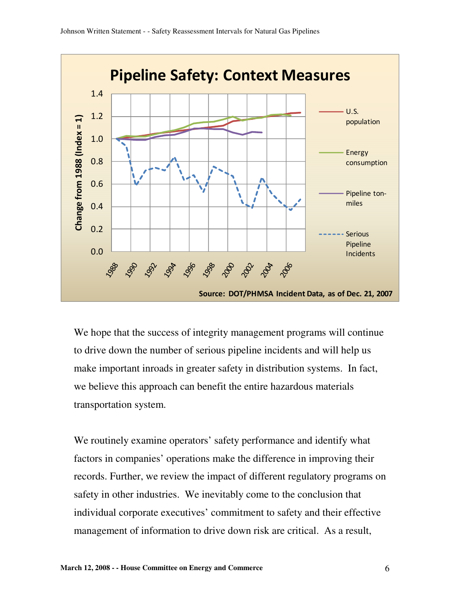

We hope that the success of integrity management programs will continue to drive down the number of serious pipeline incidents and will help us make important inroads in greater safety in distribution systems. In fact, we believe this approach can benefit the entire hazardous materials transportation system.

We routinely examine operators' safety performance and identify what factors in companies' operations make the difference in improving their records. Further, we review the impact of different regulatory programs on safety in other industries. We inevitably come to the conclusion that individual corporate executives' commitment to safety and their effective management of information to drive down risk are critical. As a result,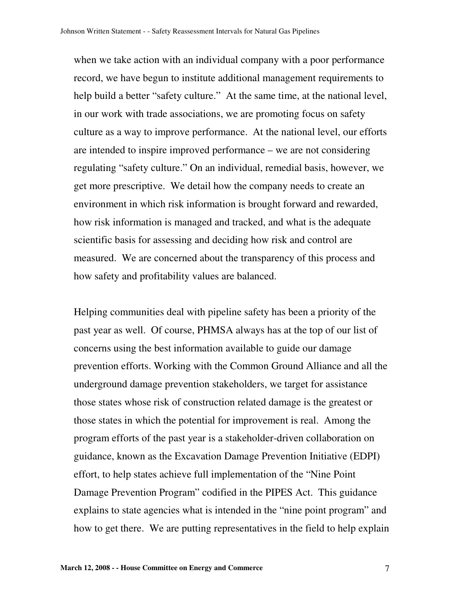when we take action with an individual company with a poor performance record, we have begun to institute additional management requirements to help build a better "safety culture." At the same time, at the national level, in our work with trade associations, we are promoting focus on safety culture as a way to improve performance. At the national level, our efforts are intended to inspire improved performance – we are not considering regulating "safety culture." On an individual, remedial basis, however, we get more prescriptive. We detail how the company needs to create an environment in which risk information is brought forward and rewarded, how risk information is managed and tracked, and what is the adequate scientific basis for assessing and deciding how risk and control are measured. We are concerned about the transparency of this process and how safety and profitability values are balanced.

Helping communities deal with pipeline safety has been a priority of the past year as well. Of course, PHMSA always has at the top of our list of concerns using the best information available to guide our damage prevention efforts. Working with the Common Ground Alliance and all the underground damage prevention stakeholders, we target for assistance those states whose risk of construction related damage is the greatest or those states in which the potential for improvement is real. Among the program efforts of the past year is a stakeholder-driven collaboration on guidance, known as the Excavation Damage Prevention Initiative (EDPI) effort, to help states achieve full implementation of the "Nine Point Damage Prevention Program" codified in the PIPES Act. This guidance explains to state agencies what is intended in the "nine point program" and how to get there. We are putting representatives in the field to help explain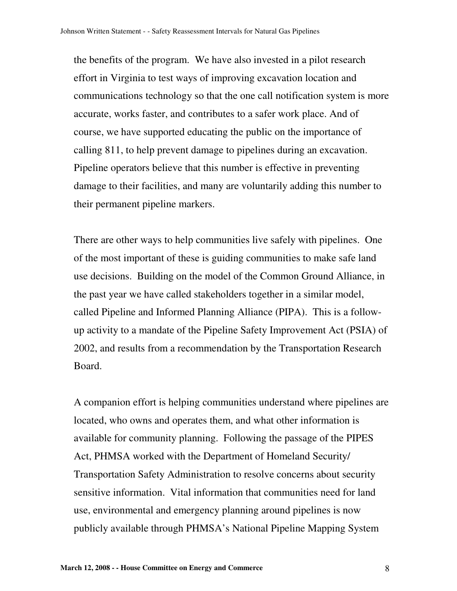the benefits of the program. We have also invested in a pilot research effort in Virginia to test ways of improving excavation location and communications technology so that the one call notification system is more accurate, works faster, and contributes to a safer work place. And of course, we have supported educating the public on the importance of calling 811, to help prevent damage to pipelines during an excavation. Pipeline operators believe that this number is effective in preventing damage to their facilities, and many are voluntarily adding this number to their permanent pipeline markers.

There are other ways to help communities live safely with pipelines. One of the most important of these is guiding communities to make safe land use decisions. Building on the model of the Common Ground Alliance, in the past year we have called stakeholders together in a similar model, called Pipeline and Informed Planning Alliance (PIPA). This is a followup activity to a mandate of the Pipeline Safety Improvement Act (PSIA) of 2002, and results from a recommendation by the Transportation Research Board.

A companion effort is helping communities understand where pipelines are located, who owns and operates them, and what other information is available for community planning. Following the passage of the PIPES Act, PHMSA worked with the Department of Homeland Security/ Transportation Safety Administration to resolve concerns about security sensitive information. Vital information that communities need for land use, environmental and emergency planning around pipelines is now publicly available through PHMSA's National Pipeline Mapping System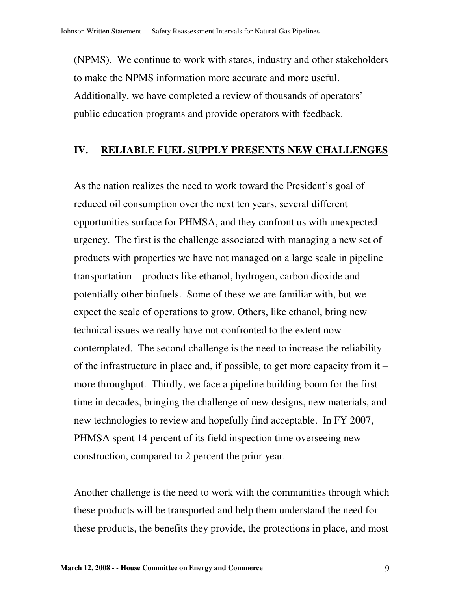(NPMS). We continue to work with states, industry and other stakeholders to make the NPMS information more accurate and more useful. Additionally, we have completed a review of thousands of operators' public education programs and provide operators with feedback.

#### **IV. RELIABLE FUEL SUPPLY PRESENTS NEW CHALLENGES**

As the nation realizes the need to work toward the President's goal of reduced oil consumption over the next ten years, several different opportunities surface for PHMSA, and they confront us with unexpected urgency. The first is the challenge associated with managing a new set of products with properties we have not managed on a large scale in pipeline transportation – products like ethanol, hydrogen, carbon dioxide and potentially other biofuels. Some of these we are familiar with, but we expect the scale of operations to grow. Others, like ethanol, bring new technical issues we really have not confronted to the extent now contemplated. The second challenge is the need to increase the reliability of the infrastructure in place and, if possible, to get more capacity from it – more throughput. Thirdly, we face a pipeline building boom for the first time in decades, bringing the challenge of new designs, new materials, and new technologies to review and hopefully find acceptable. In FY 2007, PHMSA spent 14 percent of its field inspection time overseeing new construction, compared to 2 percent the prior year.

Another challenge is the need to work with the communities through which these products will be transported and help them understand the need for these products, the benefits they provide, the protections in place, and most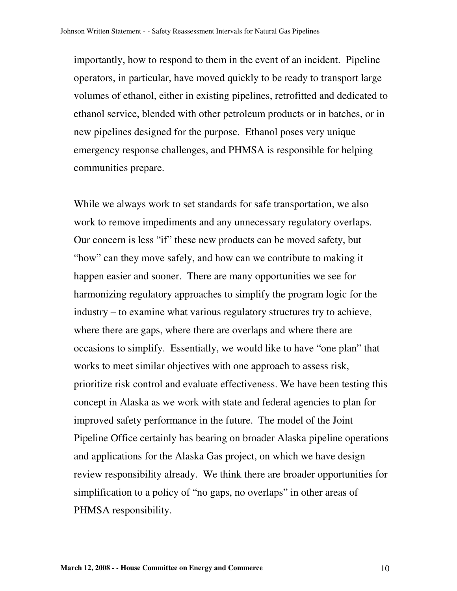importantly, how to respond to them in the event of an incident. Pipeline operators, in particular, have moved quickly to be ready to transport large volumes of ethanol, either in existing pipelines, retrofitted and dedicated to ethanol service, blended with other petroleum products or in batches, or in new pipelines designed for the purpose. Ethanol poses very unique emergency response challenges, and PHMSA is responsible for helping communities prepare.

While we always work to set standards for safe transportation, we also work to remove impediments and any unnecessary regulatory overlaps. Our concern is less "if" these new products can be moved safety, but "how" can they move safely, and how can we contribute to making it happen easier and sooner. There are many opportunities we see for harmonizing regulatory approaches to simplify the program logic for the industry – to examine what various regulatory structures try to achieve, where there are gaps, where there are overlaps and where there are occasions to simplify. Essentially, we would like to have "one plan" that works to meet similar objectives with one approach to assess risk, prioritize risk control and evaluate effectiveness. We have been testing this concept in Alaska as we work with state and federal agencies to plan for improved safety performance in the future. The model of the Joint Pipeline Office certainly has bearing on broader Alaska pipeline operations and applications for the Alaska Gas project, on which we have design review responsibility already. We think there are broader opportunities for simplification to a policy of "no gaps, no overlaps" in other areas of PHMSA responsibility.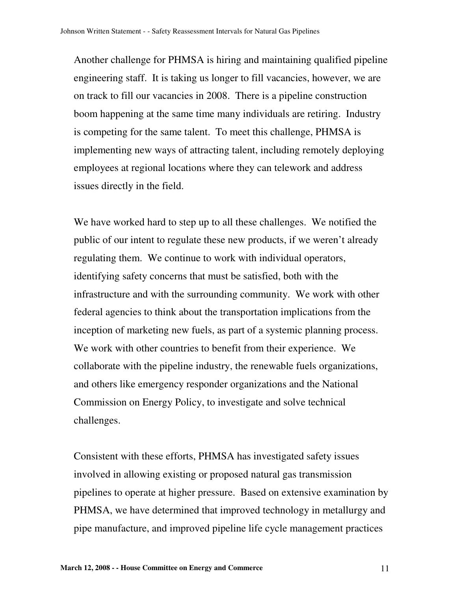Another challenge for PHMSA is hiring and maintaining qualified pipeline engineering staff. It is taking us longer to fill vacancies, however, we are on track to fill our vacancies in 2008. There is a pipeline construction boom happening at the same time many individuals are retiring. Industry is competing for the same talent. To meet this challenge, PHMSA is implementing new ways of attracting talent, including remotely deploying employees at regional locations where they can telework and address issues directly in the field.

We have worked hard to step up to all these challenges. We notified the public of our intent to regulate these new products, if we weren't already regulating them. We continue to work with individual operators, identifying safety concerns that must be satisfied, both with the infrastructure and with the surrounding community. We work with other federal agencies to think about the transportation implications from the inception of marketing new fuels, as part of a systemic planning process. We work with other countries to benefit from their experience. We collaborate with the pipeline industry, the renewable fuels organizations, and others like emergency responder organizations and the National Commission on Energy Policy, to investigate and solve technical challenges.

Consistent with these efforts, PHMSA has investigated safety issues involved in allowing existing or proposed natural gas transmission pipelines to operate at higher pressure. Based on extensive examination by PHMSA, we have determined that improved technology in metallurgy and pipe manufacture, and improved pipeline life cycle management practices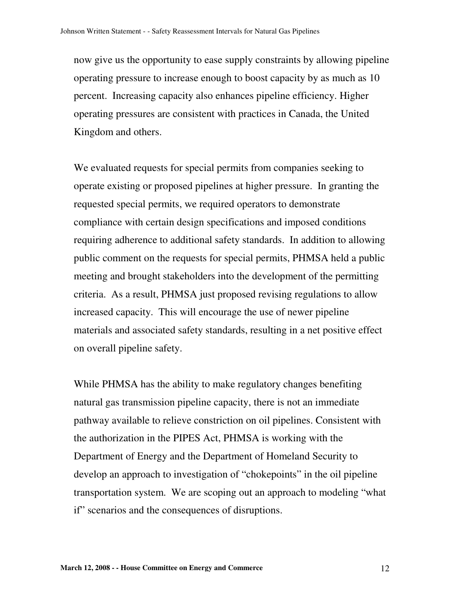now give us the opportunity to ease supply constraints by allowing pipeline operating pressure to increase enough to boost capacity by as much as 10 percent. Increasing capacity also enhances pipeline efficiency. Higher operating pressures are consistent with practices in Canada, the United Kingdom and others.

We evaluated requests for special permits from companies seeking to operate existing or proposed pipelines at higher pressure. In granting the requested special permits, we required operators to demonstrate compliance with certain design specifications and imposed conditions requiring adherence to additional safety standards. In addition to allowing public comment on the requests for special permits, PHMSA held a public meeting and brought stakeholders into the development of the permitting criteria. As a result, PHMSA just proposed revising regulations to allow increased capacity. This will encourage the use of newer pipeline materials and associated safety standards, resulting in a net positive effect on overall pipeline safety.

While PHMSA has the ability to make regulatory changes benefiting natural gas transmission pipeline capacity, there is not an immediate pathway available to relieve constriction on oil pipelines. Consistent with the authorization in the PIPES Act, PHMSA is working with the Department of Energy and the Department of Homeland Security to develop an approach to investigation of "chokepoints" in the oil pipeline transportation system. We are scoping out an approach to modeling "what if" scenarios and the consequences of disruptions.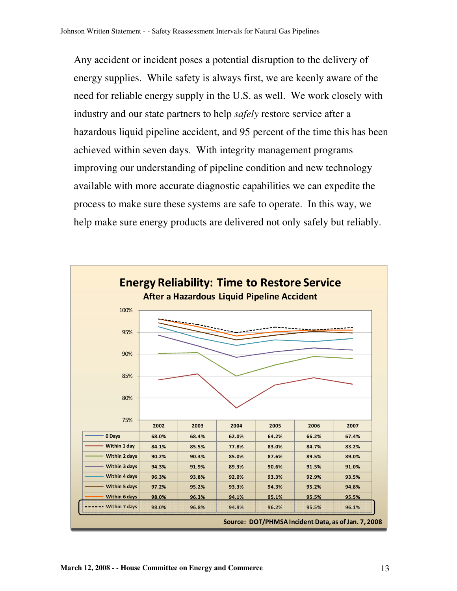Any accident or incident poses a potential disruption to the delivery of energy supplies. While safety is always first, we are keenly aware of the need for reliable energy supply in the U.S. as well. We work closely with industry and our state partners to help *safely* restore service after a hazardous liquid pipeline accident, and 95 percent of the time this has been achieved within seven days. With integrity management programs improving our understanding of pipeline condition and new technology available with more accurate diagnostic capabilities we can expedite the process to make sure these systems are safe to operate. In this way, we help make sure energy products are delivered not only safely but reliably.

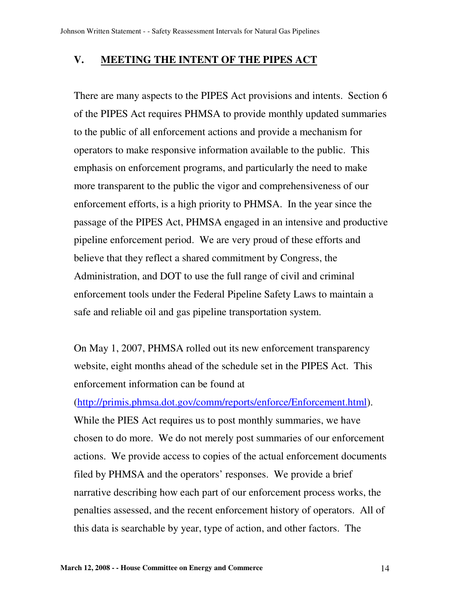## **V. MEETING THE INTENT OF THE PIPES ACT**

There are many aspects to the PIPES Act provisions and intents. Section 6 of the PIPES Act requires PHMSA to provide monthly updated summaries to the public of all enforcement actions and provide a mechanism for operators to make responsive information available to the public. This emphasis on enforcement programs, and particularly the need to make more transparent to the public the vigor and comprehensiveness of our enforcement efforts, is a high priority to PHMSA. In the year since the passage of the PIPES Act, PHMSA engaged in an intensive and productive pipeline enforcement period. We are very proud of these efforts and believe that they reflect a shared commitment by Congress, the Administration, and DOT to use the full range of civil and criminal enforcement tools under the Federal Pipeline Safety Laws to maintain a safe and reliable oil and gas pipeline transportation system.

On May 1, 2007, PHMSA rolled out its new enforcement transparency website, eight months ahead of the schedule set in the PIPES Act. This enforcement information can be found at

(http://primis.phmsa.dot.gov/comm/reports/enforce/Enforcement.html). While the PIES Act requires us to post monthly summaries, we have chosen to do more. We do not merely post summaries of our enforcement actions. We provide access to copies of the actual enforcement documents filed by PHMSA and the operators' responses. We provide a brief narrative describing how each part of our enforcement process works, the penalties assessed, and the recent enforcement history of operators. All of this data is searchable by year, type of action, and other factors. The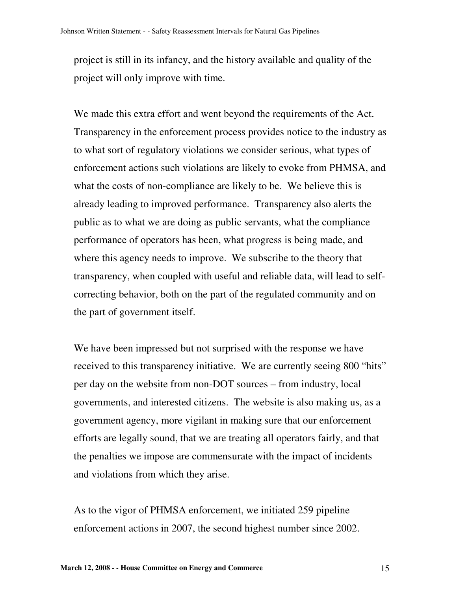project is still in its infancy, and the history available and quality of the project will only improve with time.

We made this extra effort and went beyond the requirements of the Act. Transparency in the enforcement process provides notice to the industry as to what sort of regulatory violations we consider serious, what types of enforcement actions such violations are likely to evoke from PHMSA, and what the costs of non-compliance are likely to be. We believe this is already leading to improved performance. Transparency also alerts the public as to what we are doing as public servants, what the compliance performance of operators has been, what progress is being made, and where this agency needs to improve. We subscribe to the theory that transparency, when coupled with useful and reliable data, will lead to selfcorrecting behavior, both on the part of the regulated community and on the part of government itself.

We have been impressed but not surprised with the response we have received to this transparency initiative. We are currently seeing 800 "hits" per day on the website from non-DOT sources – from industry, local governments, and interested citizens. The website is also making us, as a government agency, more vigilant in making sure that our enforcement efforts are legally sound, that we are treating all operators fairly, and that the penalties we impose are commensurate with the impact of incidents and violations from which they arise.

As to the vigor of PHMSA enforcement, we initiated 259 pipeline enforcement actions in 2007, the second highest number since 2002.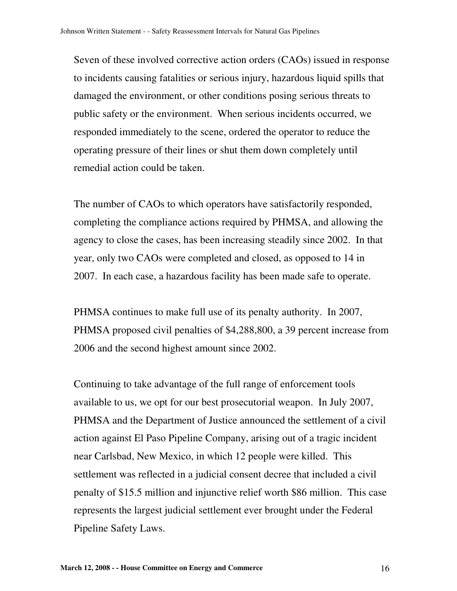Seven of these involved corrective action orders (CAOs) issued in response to incidents causing fatalities or serious injury, hazardous liquid spills that damaged the environment, or other conditions posing serious threats to public safety or the environment. When serious incidents occurred, we responded immediately to the scene, ordered the operator to reduce the operating pressure of their lines or shut them down completely until remedial action could be taken.

The number of CAOs to which operators have satisfactorily responded, completing the compliance actions required by PHMSA, and allowing the agency to close the cases, has been increasing steadily since 2002. In that year, only two CAOs were completed and closed, as opposed to 14 in 2007. In each case, a hazardous facility has been made safe to operate.

PHMSA continues to make full use of its penalty authority. In 2007, PHMSA proposed civil penalties of \$4,288,800, a 39 percent increase from 2006 and the second highest amount since 2002.

Continuing to take advantage of the full range of enforcement tools available to us, we opt for our best prosecutorial weapon. In July 2007, PHMSA and the Department of Justice announced the settlement of a civil action against El Paso Pipeline Company, arising out of a tragic incident near Carlsbad, New Mexico, in which 12 people were killed. This settlement was reflected in a judicial consent decree that included a civil penalty of \$15.5 million and injunctive relief worth \$86 million. This case represents the largest judicial settlement ever brought under the Federal Pipeline Safety Laws.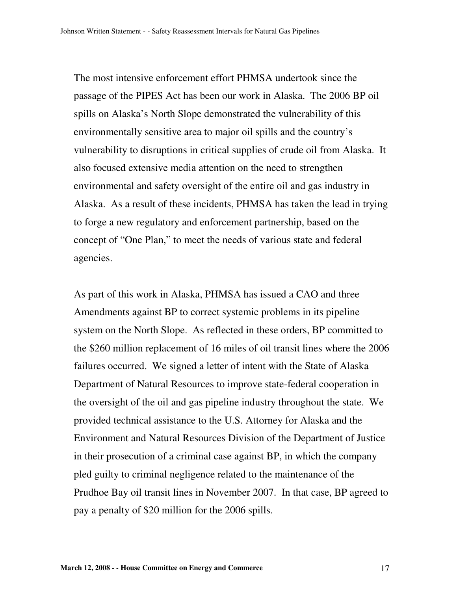The most intensive enforcement effort PHMSA undertook since the passage of the PIPES Act has been our work in Alaska. The 2006 BP oil spills on Alaska's North Slope demonstrated the vulnerability of this environmentally sensitive area to major oil spills and the country's vulnerability to disruptions in critical supplies of crude oil from Alaska. It also focused extensive media attention on the need to strengthen environmental and safety oversight of the entire oil and gas industry in Alaska. As a result of these incidents, PHMSA has taken the lead in trying to forge a new regulatory and enforcement partnership, based on the concept of "One Plan," to meet the needs of various state and federal agencies.

As part of this work in Alaska, PHMSA has issued a CAO and three Amendments against BP to correct systemic problems in its pipeline system on the North Slope. As reflected in these orders, BP committed to the \$260 million replacement of 16 miles of oil transit lines where the 2006 failures occurred. We signed a letter of intent with the State of Alaska Department of Natural Resources to improve state-federal cooperation in the oversight of the oil and gas pipeline industry throughout the state. We provided technical assistance to the U.S. Attorney for Alaska and the Environment and Natural Resources Division of the Department of Justice in their prosecution of a criminal case against BP, in which the company pled guilty to criminal negligence related to the maintenance of the Prudhoe Bay oil transit lines in November 2007. In that case, BP agreed to pay a penalty of \$20 million for the 2006 spills.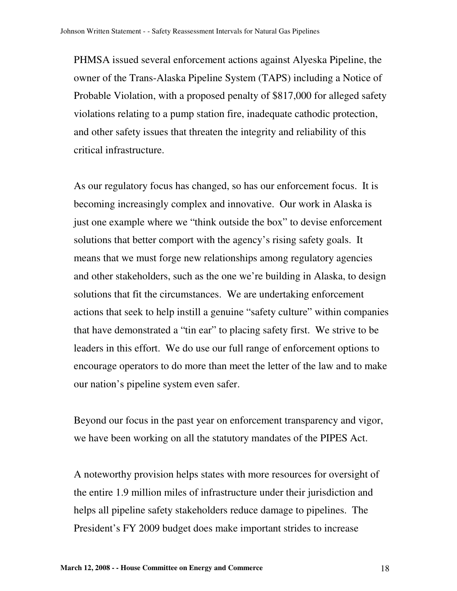PHMSA issued several enforcement actions against Alyeska Pipeline, the owner of the Trans-Alaska Pipeline System (TAPS) including a Notice of Probable Violation, with a proposed penalty of \$817,000 for alleged safety violations relating to a pump station fire, inadequate cathodic protection, and other safety issues that threaten the integrity and reliability of this critical infrastructure.

As our regulatory focus has changed, so has our enforcement focus. It is becoming increasingly complex and innovative. Our work in Alaska is just one example where we "think outside the box" to devise enforcement solutions that better comport with the agency's rising safety goals. It means that we must forge new relationships among regulatory agencies and other stakeholders, such as the one we're building in Alaska, to design solutions that fit the circumstances. We are undertaking enforcement actions that seek to help instill a genuine "safety culture" within companies that have demonstrated a "tin ear" to placing safety first. We strive to be leaders in this effort. We do use our full range of enforcement options to encourage operators to do more than meet the letter of the law and to make our nation's pipeline system even safer.

Beyond our focus in the past year on enforcement transparency and vigor, we have been working on all the statutory mandates of the PIPES Act.

A noteworthy provision helps states with more resources for oversight of the entire 1.9 million miles of infrastructure under their jurisdiction and helps all pipeline safety stakeholders reduce damage to pipelines. The President's FY 2009 budget does make important strides to increase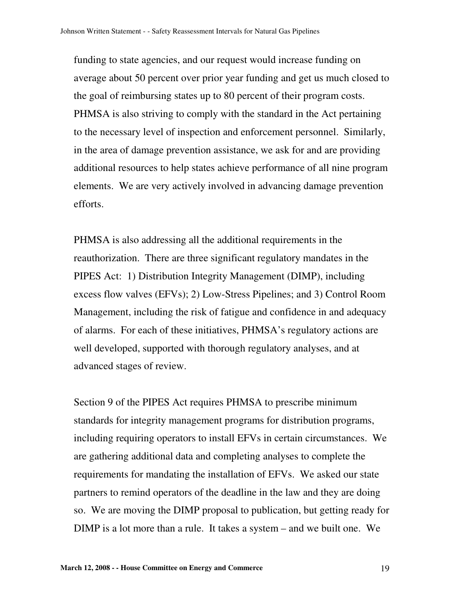funding to state agencies, and our request would increase funding on average about 50 percent over prior year funding and get us much closed to the goal of reimbursing states up to 80 percent of their program costs. PHMSA is also striving to comply with the standard in the Act pertaining to the necessary level of inspection and enforcement personnel. Similarly, in the area of damage prevention assistance, we ask for and are providing additional resources to help states achieve performance of all nine program elements. We are very actively involved in advancing damage prevention efforts.

PHMSA is also addressing all the additional requirements in the reauthorization. There are three significant regulatory mandates in the PIPES Act: 1) Distribution Integrity Management (DIMP), including excess flow valves (EFVs); 2) Low-Stress Pipelines; and 3) Control Room Management, including the risk of fatigue and confidence in and adequacy of alarms. For each of these initiatives, PHMSA's regulatory actions are well developed, supported with thorough regulatory analyses, and at advanced stages of review.

Section 9 of the PIPES Act requires PHMSA to prescribe minimum standards for integrity management programs for distribution programs, including requiring operators to install EFVs in certain circumstances. We are gathering additional data and completing analyses to complete the requirements for mandating the installation of EFVs. We asked our state partners to remind operators of the deadline in the law and they are doing so. We are moving the DIMP proposal to publication, but getting ready for DIMP is a lot more than a rule. It takes a system – and we built one. We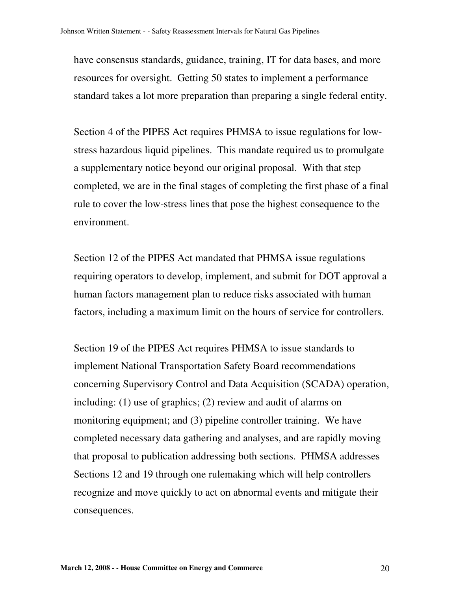have consensus standards, guidance, training, IT for data bases, and more resources for oversight. Getting 50 states to implement a performance standard takes a lot more preparation than preparing a single federal entity.

Section 4 of the PIPES Act requires PHMSA to issue regulations for lowstress hazardous liquid pipelines. This mandate required us to promulgate a supplementary notice beyond our original proposal. With that step completed, we are in the final stages of completing the first phase of a final rule to cover the low-stress lines that pose the highest consequence to the environment.

Section 12 of the PIPES Act mandated that PHMSA issue regulations requiring operators to develop, implement, and submit for DOT approval a human factors management plan to reduce risks associated with human factors, including a maximum limit on the hours of service for controllers.

Section 19 of the PIPES Act requires PHMSA to issue standards to implement National Transportation Safety Board recommendations concerning Supervisory Control and Data Acquisition (SCADA) operation, including: (1) use of graphics; (2) review and audit of alarms on monitoring equipment; and (3) pipeline controller training. We have completed necessary data gathering and analyses, and are rapidly moving that proposal to publication addressing both sections. PHMSA addresses Sections 12 and 19 through one rulemaking which will help controllers recognize and move quickly to act on abnormal events and mitigate their consequences.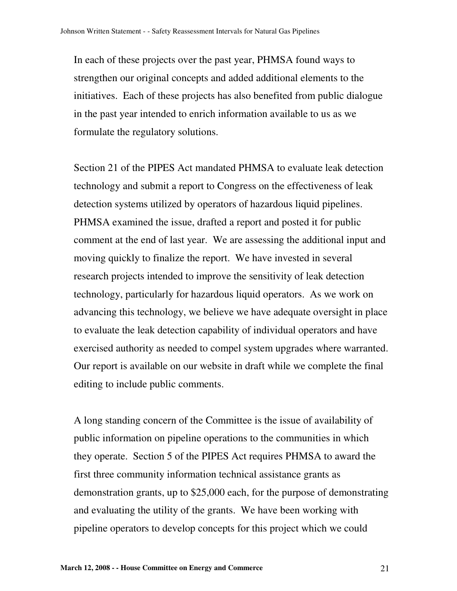In each of these projects over the past year, PHMSA found ways to strengthen our original concepts and added additional elements to the initiatives. Each of these projects has also benefited from public dialogue in the past year intended to enrich information available to us as we formulate the regulatory solutions.

Section 21 of the PIPES Act mandated PHMSA to evaluate leak detection technology and submit a report to Congress on the effectiveness of leak detection systems utilized by operators of hazardous liquid pipelines. PHMSA examined the issue, drafted a report and posted it for public comment at the end of last year. We are assessing the additional input and moving quickly to finalize the report. We have invested in several research projects intended to improve the sensitivity of leak detection technology, particularly for hazardous liquid operators. As we work on advancing this technology, we believe we have adequate oversight in place to evaluate the leak detection capability of individual operators and have exercised authority as needed to compel system upgrades where warranted. Our report is available on our website in draft while we complete the final editing to include public comments.

A long standing concern of the Committee is the issue of availability of public information on pipeline operations to the communities in which they operate. Section 5 of the PIPES Act requires PHMSA to award the first three community information technical assistance grants as demonstration grants, up to \$25,000 each, for the purpose of demonstrating and evaluating the utility of the grants. We have been working with pipeline operators to develop concepts for this project which we could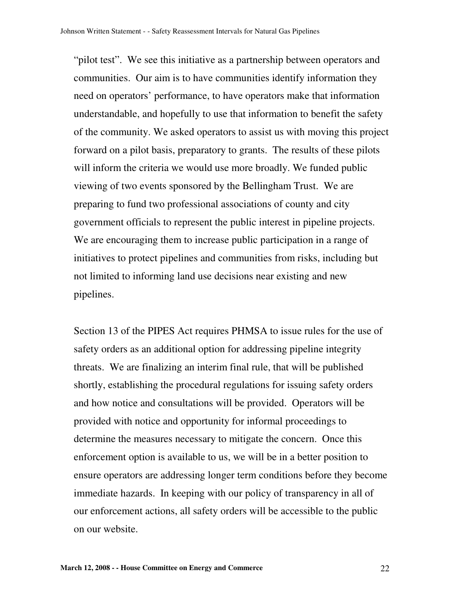"pilot test". We see this initiative as a partnership between operators and communities. Our aim is to have communities identify information they need on operators' performance, to have operators make that information understandable, and hopefully to use that information to benefit the safety of the community. We asked operators to assist us with moving this project forward on a pilot basis, preparatory to grants. The results of these pilots will inform the criteria we would use more broadly. We funded public viewing of two events sponsored by the Bellingham Trust. We are preparing to fund two professional associations of county and city government officials to represent the public interest in pipeline projects. We are encouraging them to increase public participation in a range of initiatives to protect pipelines and communities from risks, including but not limited to informing land use decisions near existing and new pipelines.

Section 13 of the PIPES Act requires PHMSA to issue rules for the use of safety orders as an additional option for addressing pipeline integrity threats. We are finalizing an interim final rule, that will be published shortly, establishing the procedural regulations for issuing safety orders and how notice and consultations will be provided. Operators will be provided with notice and opportunity for informal proceedings to determine the measures necessary to mitigate the concern. Once this enforcement option is available to us, we will be in a better position to ensure operators are addressing longer term conditions before they become immediate hazards. In keeping with our policy of transparency in all of our enforcement actions, all safety orders will be accessible to the public on our website.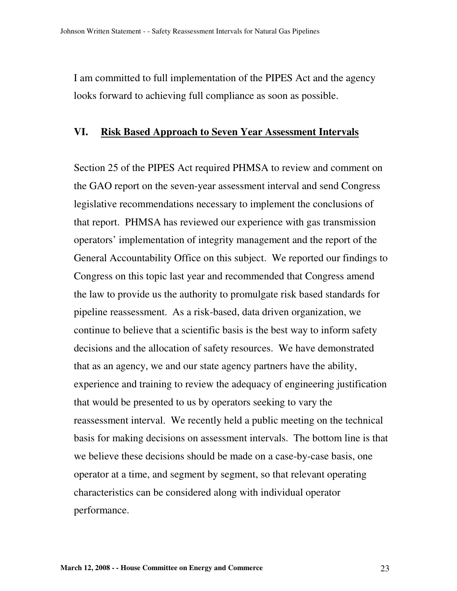I am committed to full implementation of the PIPES Act and the agency looks forward to achieving full compliance as soon as possible.

#### **VI. Risk Based Approach to Seven Year Assessment Intervals**

Section 25 of the PIPES Act required PHMSA to review and comment on the GAO report on the seven-year assessment interval and send Congress legislative recommendations necessary to implement the conclusions of that report. PHMSA has reviewed our experience with gas transmission operators' implementation of integrity management and the report of the General Accountability Office on this subject. We reported our findings to Congress on this topic last year and recommended that Congress amend the law to provide us the authority to promulgate risk based standards for pipeline reassessment. As a risk-based, data driven organization, we continue to believe that a scientific basis is the best way to inform safety decisions and the allocation of safety resources. We have demonstrated that as an agency, we and our state agency partners have the ability, experience and training to review the adequacy of engineering justification that would be presented to us by operators seeking to vary the reassessment interval. We recently held a public meeting on the technical basis for making decisions on assessment intervals. The bottom line is that we believe these decisions should be made on a case-by-case basis, one operator at a time, and segment by segment, so that relevant operating characteristics can be considered along with individual operator performance.